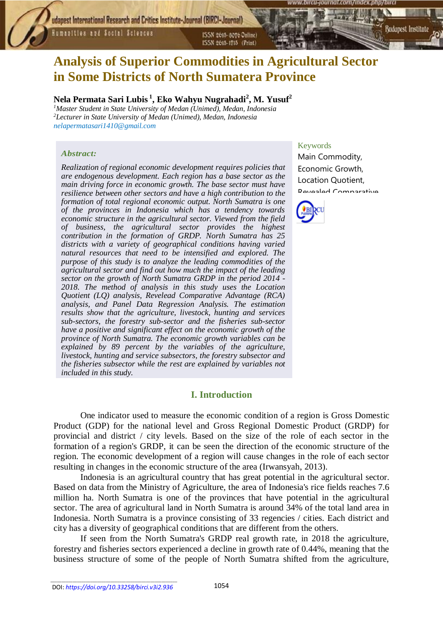**Humanities and Social Sciences** 

ISSN 2015-3076 Online) ISSN 2015-1715 (Print)

# **Analysis of Superior Commodities in Agricultural Sector in Some Districts of North Sumatera Province**

### **Nela Permata Sari Lubis <sup>1</sup> , Eko Wahyu Nugrahadi<sup>2</sup> , M. Yusuf<sup>2</sup>**

*<sup>1</sup>Master Student in State University of Medan (Unimed), Medan, Indonesia <sup>2</sup>Lecturer in State University of Medan (Unimed), Medan, Indonesia [nelapermatasari1410@gmail.com](mailto:nelapermatasari1410@gmail.com)*

### *Abstract:*

*Realization of regional economic development requires policies that are endogenous development. Each region has a base sector as the main driving force in economic growth. The base sector must have resilience between other sectors and have a high contribution to the formation of total regional economic output. North Sumatra is one of the provinces in Indonesia which has a tendency towards economic structure in the agricultural sector. Viewed from the field of business, the agricultural sector provides the highest contribution in the formation of GRDP. North Sumatra has 25 districts with a variety of geographical conditions having varied natural resources that need to be intensified and explored. The purpose of this study is to analyze the leading commodities of the agricultural sector and find out how much the impact of the leading sector on the growth of North Sumatra GRDP in the period 2014 - 2018. The method of analysis in this study uses the Location Quotient (LQ) analysis, Revelead Comparative Advantage (RCA) analysis, and Panel Data Regression Analysis. The estimation results show that the agriculture, livestock, hunting and services sub-sectors, the forestry sub-sector and the fisheries sub-sector have a positive and significant effect on the economic growth of the province of North Sumatra. The economic growth variables can be explained by 89 percent by the variables of the agriculture, livestock, hunting and service subsectors, the forestry subsector and the fisheries subsector while the rest are explained by variables not included in this study.*

### **I. Introduction**

One indicator used to measure the economic condition of a region is Gross Domestic Product (GDP) for the national level and Gross Regional Domestic Product (GRDP) for provincial and district / city levels. Based on the size of the role of each sector in the formation of a region's GRDP, it can be seen the direction of the economic structure of the region. The economic development of a region will cause changes in the role of each sector resulting in changes in the economic structure of the area (Irwansyah, 2013).

Indonesia is an agricultural country that has great potential in the agricultural sector. Based on data from the Ministry of Agriculture, the area of Indonesia's rice fields reaches 7.6 million ha. North Sumatra is one of the provinces that have potential in the agricultural sector. The area of agricultural land in North Sumatra is around 34% of the total land area in Indonesia. North Sumatra is a province consisting of 33 regencies / cities. Each district and city has a diversity of geographical conditions that are different from the others.

If seen from the North Sumatra's GRDP real growth rate, in 2018 the agriculture, forestry and fisheries sectors experienced a decline in growth rate of 0.44%, meaning that the business structure of some of the people of North Sumatra shifted from the agriculture,

#### Keywords

Main Commodity, Economic Growth, Location Quotient, Revealed Comparative

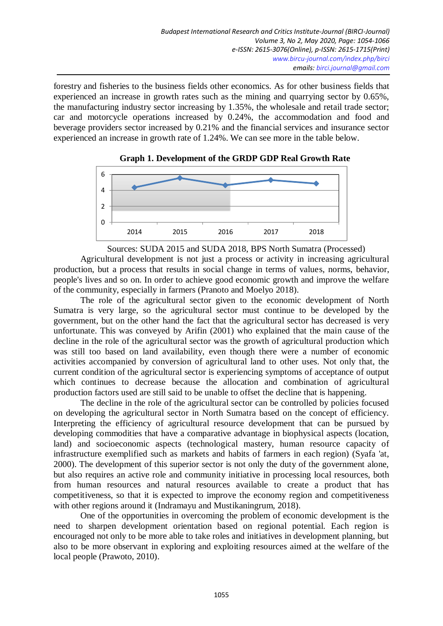forestry and fisheries to the business fields other economics. As for other business fields that experienced an increase in growth rates such as the mining and quarrying sector by 0.65%, the manufacturing industry sector increasing by 1.35%, the wholesale and retail trade sector; car and motorcycle operations increased by 0.24%, the accommodation and food and beverage providers sector increased by 0.21% and the financial services and insurance sector experienced an increase in growth rate of 1.24%. We can see more in the table below.





Sources: SUDA 2015 and SUDA 2018, BPS North Sumatra (Processed)

Agricultural development is not just a process or activity in increasing agricultural production, but a process that results in social change in terms of values, norms, behavior, people's lives and so on. In order to achieve good economic growth and improve the welfare of the community, especially in farmers (Pranoto and Moelyo 2018).

The role of the agricultural sector given to the economic development of North Sumatra is very large, so the agricultural sector must continue to be developed by the government, but on the other hand the fact that the agricultural sector has decreased is very unfortunate. This was conveyed by Arifin (2001) who explained that the main cause of the decline in the role of the agricultural sector was the growth of agricultural production which was still too based on land availability, even though there were a number of economic activities accompanied by conversion of agricultural land to other uses. Not only that, the current condition of the agricultural sector is experiencing symptoms of acceptance of output which continues to decrease because the allocation and combination of agricultural production factors used are still said to be unable to offset the decline that is happening.

The decline in the role of the agricultural sector can be controlled by policies focused on developing the agricultural sector in North Sumatra based on the concept of efficiency. Interpreting the efficiency of agricultural resource development that can be pursued by developing commodities that have a comparative advantage in biophysical aspects (location, land) and socioeconomic aspects (technological mastery, human resource capacity of infrastructure exemplified such as markets and habits of farmers in each region) (Syafa 'at, 2000). The development of this superior sector is not only the duty of the government alone, but also requires an active role and community initiative in processing local resources, both from human resources and natural resources available to create a product that has competitiveness, so that it is expected to improve the economy region and competitiveness with other regions around it (Indramayu and Mustikaningrum, 2018).

One of the opportunities in overcoming the problem of economic development is the need to sharpen development orientation based on regional potential. Each region is encouraged not only to be more able to take roles and initiatives in development planning, but also to be more observant in exploring and exploiting resources aimed at the welfare of the local people (Prawoto, 2010).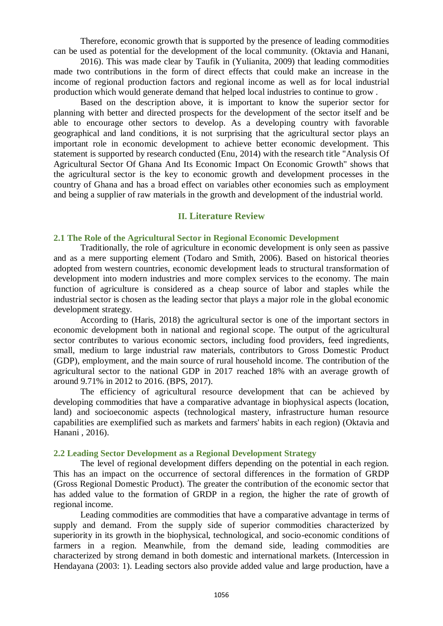Therefore, economic growth that is supported by the presence of leading commodities can be used as potential for the development of the local community. (Oktavia and Hanani,

2016). This was made clear by Taufik in (Yulianita, 2009) that leading commodities made two contributions in the form of direct effects that could make an increase in the income of regional production factors and regional income as well as for local industrial production which would generate demand that helped local industries to continue to grow .

Based on the description above, it is important to know the superior sector for planning with better and directed prospects for the development of the sector itself and be able to encourage other sectors to develop. As a developing country with favorable geographical and land conditions, it is not surprising that the agricultural sector plays an important role in economic development to achieve better economic development. This statement is supported by research conducted (Enu, 2014) with the research title "Analysis Of Agricultural Sector Of Ghana And Its Economic Impact On Economic Growth" shows that the agricultural sector is the key to economic growth and development processes in the country of Ghana and has a broad effect on variables other economies such as employment and being a supplier of raw materials in the growth and development of the industrial world.

### **II. Literature Review**

#### **2.1 The Role of the Agricultural Sector in Regional Economic Development**

Traditionally, the role of agriculture in economic development is only seen as passive and as a mere supporting element (Todaro and Smith, 2006). Based on historical theories adopted from western countries, economic development leads to structural transformation of development into modern industries and more complex services to the economy. The main function of agriculture is considered as a cheap source of labor and staples while the industrial sector is chosen as the leading sector that plays a major role in the global economic development strategy.

According to (Haris, 2018) the agricultural sector is one of the important sectors in economic development both in national and regional scope. The output of the agricultural sector contributes to various economic sectors, including food providers, feed ingredients, small, medium to large industrial raw materials, contributors to Gross Domestic Product (GDP), employment, and the main source of rural household income. The contribution of the agricultural sector to the national GDP in 2017 reached 18% with an average growth of around 9.71% in 2012 to 2016. (BPS, 2017).

The efficiency of agricultural resource development that can be achieved by developing commodities that have a comparative advantage in biophysical aspects (location, land) and socioeconomic aspects (technological mastery, infrastructure human resource capabilities are exemplified such as markets and farmers' habits in each region) (Oktavia and Hanani , 2016).

#### **2.2 Leading Sector Development as a Regional Development Strategy**

The level of regional development differs depending on the potential in each region. This has an impact on the occurrence of sectoral differences in the formation of GRDP (Gross Regional Domestic Product). The greater the contribution of the economic sector that has added value to the formation of GRDP in a region, the higher the rate of growth of regional income.

Leading commodities are commodities that have a comparative advantage in terms of supply and demand. From the supply side of superior commodities characterized by superiority in its growth in the biophysical, technological, and socio-economic conditions of farmers in a region. Meanwhile, from the demand side, leading commodities are characterized by strong demand in both domestic and international markets. (Intercession in Hendayana (2003: 1). Leading sectors also provide added value and large production, have a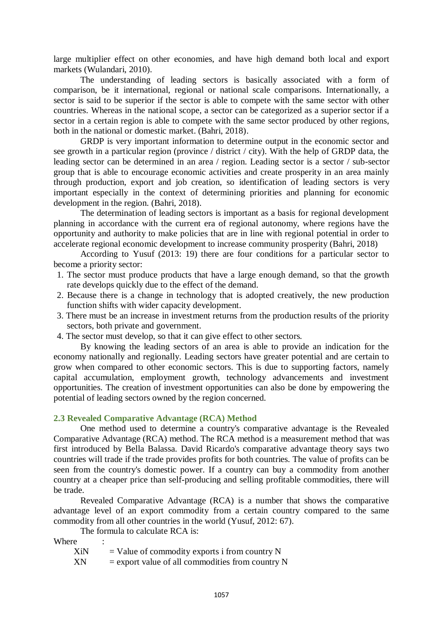large multiplier effect on other economies, and have high demand both local and export markets (Wulandari, 2010).

The understanding of leading sectors is basically associated with a form of comparison, be it international, regional or national scale comparisons. Internationally, a sector is said to be superior if the sector is able to compete with the same sector with other countries. Whereas in the national scope, a sector can be categorized as a superior sector if a sector in a certain region is able to compete with the same sector produced by other regions, both in the national or domestic market. (Bahri, 2018).

GRDP is very important information to determine output in the economic sector and see growth in a particular region (province / district / city). With the help of GRDP data, the leading sector can be determined in an area / region. Leading sector is a sector / sub-sector group that is able to encourage economic activities and create prosperity in an area mainly through production, export and job creation, so identification of leading sectors is very important especially in the context of determining priorities and planning for economic development in the region. (Bahri, 2018).

The determination of leading sectors is important as a basis for regional development planning in accordance with the current era of regional autonomy, where regions have the opportunity and authority to make policies that are in line with regional potential in order to accelerate regional economic development to increase community prosperity (Bahri, 2018)

According to Yusuf (2013: 19) there are four conditions for a particular sector to become a priority sector:

- 1. The sector must produce products that have a large enough demand, so that the growth rate develops quickly due to the effect of the demand.
- 2. Because there is a change in technology that is adopted creatively, the new production function shifts with wider capacity development.
- 3. There must be an increase in investment returns from the production results of the priority sectors, both private and government.
- 4. The sector must develop, so that it can give effect to other sectors.

By knowing the leading sectors of an area is able to provide an indication for the economy nationally and regionally. Leading sectors have greater potential and are certain to grow when compared to other economic sectors. This is due to supporting factors, namely capital accumulation, employment growth, technology advancements and investment opportunities. The creation of investment opportunities can also be done by empowering the potential of leading sectors owned by the region concerned.

#### **2.3 Revealed Comparative Advantage (RCA) Method**

One method used to determine a country's comparative advantage is the Revealed Comparative Advantage (RCA) method. The RCA method is a measurement method that was first introduced by Bella Balassa. David Ricardo's comparative advantage theory says two countries will trade if the trade provides profits for both countries. The value of profits can be seen from the country's domestic power. If a country can buy a commodity from another country at a cheaper price than self-producing and selling profitable commodities, there will be trade.

Revealed Comparative Advantage (RCA) is a number that shows the comparative advantage level of an export commodity from a certain country compared to the same commodity from all other countries in the world (Yusuf, 2012: 67).

The formula to calculate RCA is:

**Where** 

 $XiN = Value of commodity exports i from country N$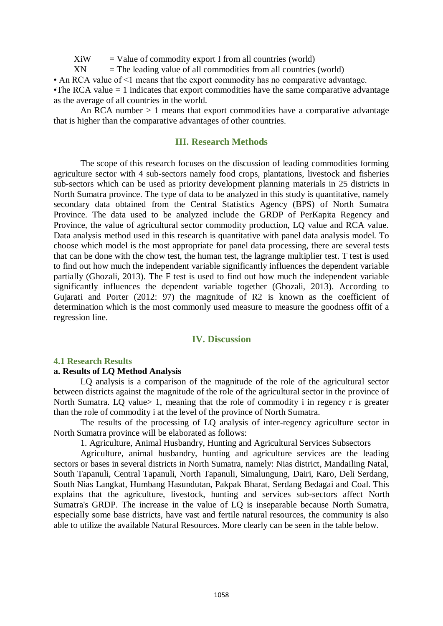$XiW = Value of commodity export I from all countries (world)$ 

 $XN = The leading value of all commodities from all countries (world)$ 

• An RCA value of <1 means that the export commodity has no comparative advantage.

•The RCA value  $= 1$  indicates that export commodities have the same comparative advantage as the average of all countries in the world.

An RCA number  $> 1$  means that export commodities have a comparative advantage that is higher than the comparative advantages of other countries.

### **III. Research Methods**

The scope of this research focuses on the discussion of leading commodities forming agriculture sector with 4 sub-sectors namely food crops, plantations, livestock and fisheries sub-sectors which can be used as priority development planning materials in 25 districts in North Sumatra province. The type of data to be analyzed in this study is quantitative, namely secondary data obtained from the Central Statistics Agency (BPS) of North Sumatra Province. The data used to be analyzed include the GRDP of PerKapita Regency and Province, the value of agricultural sector commodity production, LQ value and RCA value. Data analysis method used in this research is quantitative with panel data analysis model. To choose which model is the most appropriate for panel data processing, there are several tests that can be done with the chow test, the human test, the lagrange multiplier test. T test is used to find out how much the independent variable significantly influences the dependent variable partially (Ghozali, 2013). The F test is used to find out how much the independent variable significantly influences the dependent variable together (Ghozali, 2013). According to Gujarati and Porter (2012: 97) the magnitude of R2 is known as the coefficient of determination which is the most commonly used measure to measure the goodness offit of a regression line.

### **IV. Discussion**

#### **4.1 Research Results**

#### **a. Results of LQ Method Analysis**

LQ analysis is a comparison of the magnitude of the role of the agricultural sector between districts against the magnitude of the role of the agricultural sector in the province of North Sumatra. LO value i, meaning that the role of commodity i in regency r is greater than the role of commodity i at the level of the province of North Sumatra.

The results of the processing of LQ analysis of inter-regency agriculture sector in North Sumatra province will be elaborated as follows:

1. Agriculture, Animal Husbandry, Hunting and Agricultural Services Subsectors

Agriculture, animal husbandry, hunting and agriculture services are the leading sectors or bases in several districts in North Sumatra, namely: Nias district, Mandailing Natal, South Tapanuli, Central Tapanuli, North Tapanuli, Simalungung, Dairi, Karo, Deli Serdang, South Nias Langkat, Humbang Hasundutan, Pakpak Bharat, Serdang Bedagai and Coal. This explains that the agriculture, livestock, hunting and services sub-sectors affect North Sumatra's GRDP. The increase in the value of LQ is inseparable because North Sumatra, especially some base districts, have vast and fertile natural resources, the community is also able to utilize the available Natural Resources. More clearly can be seen in the table below.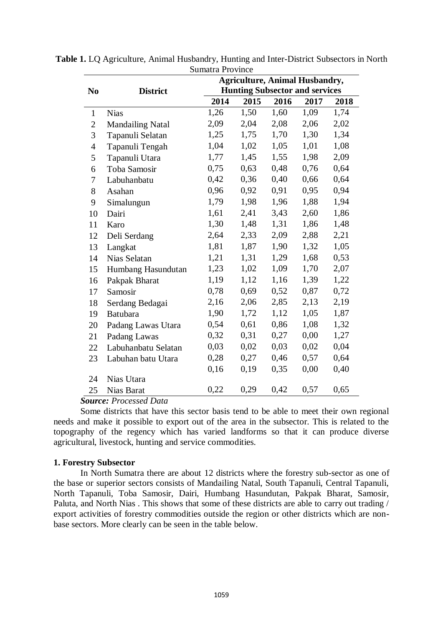|                |                         | Juliana I IV VIIIVU<br><b>Agriculture, Animal Husbandry,</b> |      |      |      |      |  |  |
|----------------|-------------------------|--------------------------------------------------------------|------|------|------|------|--|--|
| N <sub>0</sub> | <b>District</b>         | <b>Hunting Subsector and services</b>                        |      |      |      |      |  |  |
|                |                         | 2014                                                         | 2015 | 2016 | 2017 | 2018 |  |  |
| $\mathbf{1}$   | <b>Nias</b>             | 1,26                                                         | 1,50 | 1,60 | 1,09 | 1,74 |  |  |
| $\mathbf{2}$   | <b>Mandailing Natal</b> | 2,09                                                         | 2,04 | 2,08 | 2,06 | 2,02 |  |  |
| 3              | Tapanuli Selatan        | 1,25                                                         | 1,75 | 1,70 | 1,30 | 1,34 |  |  |
| $\overline{4}$ | Tapanuli Tengah         | 1,04                                                         | 1,02 | 1,05 | 1,01 | 1,08 |  |  |
| 5              | Tapanuli Utara          | 1,77                                                         | 1,45 | 1,55 | 1,98 | 2,09 |  |  |
| 6              | Toba Samosir            | 0,75                                                         | 0,63 | 0,48 | 0,76 | 0,64 |  |  |
| 7              | Labuhanbatu             | 0,42                                                         | 0,36 | 0,40 | 0,66 | 0,64 |  |  |
| 8              | Asahan                  | 0,96                                                         | 0,92 | 0,91 | 0,95 | 0,94 |  |  |
| 9              | Simalungun              | 1,79                                                         | 1,98 | 1,96 | 1,88 | 1,94 |  |  |
| 10             | Dairi                   | 1,61                                                         | 2,41 | 3,43 | 2,60 | 1,86 |  |  |
| 11             | Karo                    | 1,30                                                         | 1,48 | 1,31 | 1,86 | 1,48 |  |  |
| 12             | Deli Serdang            | 2,64                                                         | 2,33 | 2,09 | 2,88 | 2,21 |  |  |
| 13             | Langkat                 | 1,81                                                         | 1,87 | 1,90 | 1,32 | 1,05 |  |  |
| 14             | Nias Selatan            | 1,21                                                         | 1,31 | 1,29 | 1,68 | 0,53 |  |  |
| 15             | Humbang Hasundutan      | 1,23                                                         | 1,02 | 1,09 | 1,70 | 2,07 |  |  |
| 16             | Pakpak Bharat           | 1,19                                                         | 1,12 | 1,16 | 1,39 | 1,22 |  |  |
| 17             | Samosir                 | 0,78                                                         | 0,69 | 0,52 | 0,87 | 0,72 |  |  |
| 18             | Serdang Bedagai         | 2,16                                                         | 2,06 | 2,85 | 2,13 | 2,19 |  |  |
| 19             | <b>Batubara</b>         | 1,90                                                         | 1,72 | 1,12 | 1,05 | 1,87 |  |  |
| 20             | Padang Lawas Utara      | 0,54                                                         | 0,61 | 0,86 | 1,08 | 1,32 |  |  |
| 21             | Padang Lawas            | 0,32                                                         | 0,31 | 0,27 | 0,00 | 1,27 |  |  |
| 22             | Labuhanbatu Selatan     | 0,03                                                         | 0,02 | 0,03 | 0,02 | 0,04 |  |  |
| 23             | Labuhan batu Utara      | 0,28                                                         | 0,27 | 0,46 | 0,57 | 0,64 |  |  |
|                |                         | 0,16                                                         | 0,19 | 0,35 | 0,00 | 0,40 |  |  |
| 24             | Nias Utara              |                                                              |      |      |      |      |  |  |
| 25             | Nias Barat              | 0,22                                                         | 0,29 | 0,42 | 0,57 | 0,65 |  |  |

**Table 1.** LQ Agriculture, Animal Husbandry, Hunting and Inter-District Subsectors in North Sumatra Province

*Source: Processed Data*

Some districts that have this sector basis tend to be able to meet their own regional needs and make it possible to export out of the area in the subsector. This is related to the topography of the regency which has varied landforms so that it can produce diverse agricultural, livestock, hunting and service commodities.

### **1. Forestry Subsector**

In North Sumatra there are about 12 districts where the forestry sub-sector as one of the base or superior sectors consists of Mandailing Natal, South Tapanuli, Central Tapanuli, North Tapanuli, Toba Samosir, Dairi, Humbang Hasundutan, Pakpak Bharat, Samosir, Paluta, and North Nias . This shows that some of these districts are able to carry out trading / export activities of forestry commodities outside the region or other districts which are nonbase sectors. More clearly can be seen in the table below.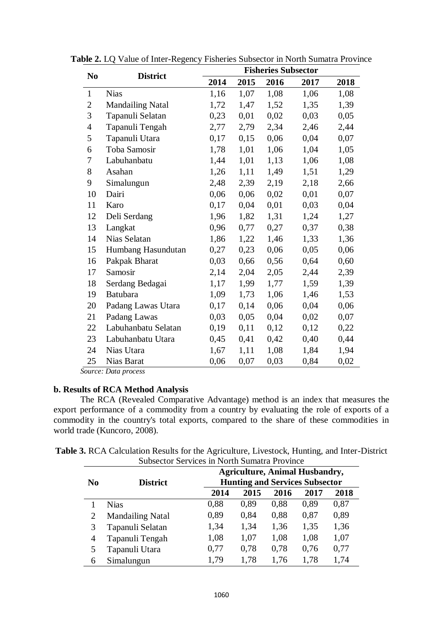| N <sub>0</sub> | <b>District</b>         | <b>Fisheries Subsector</b> |      |      |      |      |  |  |
|----------------|-------------------------|----------------------------|------|------|------|------|--|--|
|                |                         | 2014                       | 2015 | 2016 | 2017 | 2018 |  |  |
| $\mathbf{1}$   | <b>Nias</b>             | 1,16                       | 1,07 | 1,08 | 1,06 | 1,08 |  |  |
| $\overline{c}$ | <b>Mandailing Natal</b> | 1,72                       | 1,47 | 1,52 | 1,35 | 1,39 |  |  |
| 3              | Tapanuli Selatan        | 0,23                       | 0,01 | 0,02 | 0,03 | 0,05 |  |  |
| $\overline{4}$ | Tapanuli Tengah         | 2,77                       | 2,79 | 2,34 | 2,46 | 2,44 |  |  |
| 5              | Tapanuli Utara          | 0,17                       | 0,15 | 0,06 | 0,04 | 0,07 |  |  |
| 6              | Toba Samosir            | 1,78                       | 1,01 | 1,06 | 1,04 | 1,05 |  |  |
| 7              | Labuhanbatu             | 1,44                       | 1,01 | 1,13 | 1,06 | 1,08 |  |  |
| 8              | Asahan                  | 1,26                       | 1,11 | 1,49 | 1,51 | 1,29 |  |  |
| 9              | Simalungun              | 2,48                       | 2,39 | 2,19 | 2,18 | 2,66 |  |  |
| 10             | Dairi                   | 0,06                       | 0,06 | 0,02 | 0,01 | 0,07 |  |  |
| 11             | Karo                    | 0,17                       | 0,04 | 0,01 | 0,03 | 0,04 |  |  |
| 12             | Deli Serdang            | 1,96                       | 1,82 | 1,31 | 1,24 | 1,27 |  |  |
| 13             | Langkat                 | 0,96                       | 0,77 | 0,27 | 0,37 | 0,38 |  |  |
| 14             | Nias Selatan            | 1,86                       | 1,22 | 1,46 | 1,33 | 1,36 |  |  |
| 15             | Humbang Hasundutan      | 0,27                       | 0,23 | 0,06 | 0,05 | 0,06 |  |  |
| 16             | Pakpak Bharat           | 0,03                       | 0,66 | 0,56 | 0,64 | 0,60 |  |  |
| 17             | Samosir                 | 2,14                       | 2,04 | 2,05 | 2,44 | 2,39 |  |  |
| 18             | Serdang Bedagai         | 1,17                       | 1,99 | 1,77 | 1,59 | 1,39 |  |  |
| 19             | <b>Batubara</b>         | 1,09                       | 1,73 | 1,06 | 1,46 | 1,53 |  |  |
| 20             | Padang Lawas Utara      | 0,17                       | 0,14 | 0,06 | 0,04 | 0,06 |  |  |
| 21             | Padang Lawas            | 0,03                       | 0,05 | 0,04 | 0,02 | 0,07 |  |  |
| 22             | Labuhanbatu Selatan     | 0,19                       | 0,11 | 0,12 | 0,12 | 0,22 |  |  |
| 23             | Labuhanbatu Utara       | 0,45                       | 0,41 | 0,42 | 0,40 | 0,44 |  |  |
| 24             | Nias Utara              | 1,67                       | 1,11 | 1,08 | 1,84 | 1,94 |  |  |
| 25             | Nias Barat              | 0,06                       | 0,07 | 0,03 | 0,84 | 0,02 |  |  |

**Table 2.** LQ Value of Inter-Regency Fisheries Subsector in North Sumatra Province

*Source: Data process*

## **b. Results of RCA Method Analysis**

The RCA (Revealed Comparative Advantage) method is an index that measures the export performance of a commodity from a country by evaluating the role of exports of a commodity in the country's total exports, compared to the share of these commodities in world trade (Kuncoro, 2008).

| <b>Table 3.</b> RCA Calculation Results for the Agriculture, Livestock, Hunting, and Inter-District |  |
|-----------------------------------------------------------------------------------------------------|--|
| <b>Subsector Services in North Sumatra Province</b>                                                 |  |

| No             | <b>District</b>         | <b>Agriculture, Animal Husbandry,</b><br><b>Hunting and Services Subsector</b> |      |      |      |      |  |
|----------------|-------------------------|--------------------------------------------------------------------------------|------|------|------|------|--|
|                |                         | 2014                                                                           | 2015 | 2016 | 2017 | 2018 |  |
|                | <b>Nias</b>             | 0,88                                                                           | 0,89 | 0.88 | 0.89 | 0,87 |  |
| 2              | <b>Mandailing Natal</b> | 0,89                                                                           | 0,84 | 0,88 | 0,87 | 0,89 |  |
| 3              | Tapanuli Selatan        | 1,34                                                                           | 1,34 | 1,36 | 1.35 | 1,36 |  |
| $\overline{4}$ | Tapanuli Tengah         | 1,08                                                                           | 1,07 | 1,08 | 1,08 | 1,07 |  |
| 5              | Tapanuli Utara          | 0.77                                                                           | 0,78 | 0,78 | 0.76 | 0,77 |  |
| 6              | Simalungun              | 1.79                                                                           | 1,78 | 1,76 | 1.78 | 1,74 |  |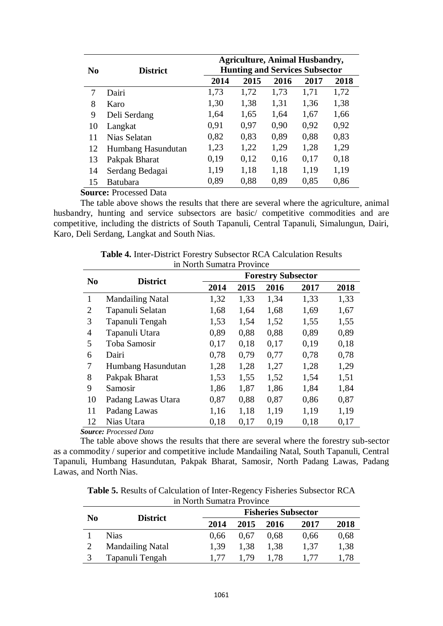| N <sub>0</sub> | <b>District</b>    | <b>Agriculture, Animal Husbandry,</b><br><b>Hunting and Services Subsector</b> |      |      |      |      |  |
|----------------|--------------------|--------------------------------------------------------------------------------|------|------|------|------|--|
|                |                    | 2014                                                                           | 2015 | 2016 | 2017 | 2018 |  |
| 7              | Dairi              | 1,73                                                                           | 1,72 | 1,73 | 1,71 | 1,72 |  |
| 8              | Karo               | 1,30                                                                           | 1,38 | 1,31 | 1,36 | 1,38 |  |
| 9              | Deli Serdang       | 1,64                                                                           | 1,65 | 1,64 | 1,67 | 1,66 |  |
| 10             | Langkat            | 0,91                                                                           | 0,97 | 0,90 | 0,92 | 0,92 |  |
| 11             | Nias Selatan       | 0,82                                                                           | 0,83 | 0,89 | 0,88 | 0,83 |  |
| 12             | Humbang Hasundutan | 1,23                                                                           | 1,22 | 1,29 | 1,28 | 1,29 |  |
| 13             | Pakpak Bharat      | 0,19                                                                           | 0,12 | 0,16 | 0,17 | 0,18 |  |
| 14             | Serdang Bedagai    | 1,19                                                                           | 1,18 | 1,18 | 1,19 | 1,19 |  |
| 15             | <b>Batubara</b>    | 0,89                                                                           | 0,88 | 0,89 | 0,85 | 0,86 |  |

**Source:** Processed Data

The table above shows the results that there are several where the agriculture, animal husbandry, hunting and service subsectors are basic/ competitive commodities and are competitive, including the districts of South Tapanuli, Central Tapanuli, Simalungun, Dairi, Karo, Deli Serdang, Langkat and South Nias.

|                | <b>District</b>         |      | <b>Forestry Subsector</b> |      |      |      |  |  |
|----------------|-------------------------|------|---------------------------|------|------|------|--|--|
| N <sub>0</sub> |                         | 2014 | 2015                      | 2016 | 2017 | 2018 |  |  |
| 1              | <b>Mandailing Natal</b> | 1,32 | 1,33                      | 1,34 | 1,33 | 1,33 |  |  |
| $\overline{2}$ | Tapanuli Selatan        | 1,68 | 1,64                      | 1,68 | 1,69 | 1,67 |  |  |
| 3              | Tapanuli Tengah         | 1,53 | 1,54                      | 1,52 | 1,55 | 1,55 |  |  |
| 4              | Tapanuli Utara          | 0,89 | 0,88                      | 0,88 | 0,89 | 0,89 |  |  |
| 5              | Toba Samosir            | 0,17 | 0.18                      | 0.17 | 0.19 | 0,18 |  |  |
| 6              | Dairi                   | 0,78 | 0,79                      | 0,77 | 0,78 | 0,78 |  |  |
| 7              | Humbang Hasundutan      | 1,28 | 1,28                      | 1,27 | 1,28 | 1,29 |  |  |
| 8              | Pakpak Bharat           | 1,53 | 1,55                      | 1,52 | 1,54 | 1,51 |  |  |
| 9              | Samosir                 | 1,86 | 1,87                      | 1,86 | 1,84 | 1,84 |  |  |
| 10             | Padang Lawas Utara      | 0,87 | 0,88                      | 0.87 | 0.86 | 0,87 |  |  |
| 11             | Padang Lawas            | 1,16 | 1,18                      | 1,19 | 1,19 | 1,19 |  |  |
| 12             | Nias Utara              | 0,18 | 0,17                      | 0,19 | 0,18 | 0,17 |  |  |

**Table 4.** Inter-District Forestry Subsector RCA Calculation Results in North Sumatra Province

*Source: Processed Data*

The table above shows the results that there are several where the forestry sub-sector as a commodity / superior and competitive include Mandailing Natal, South Tapanuli, Central Tapanuli, Humbang Hasundutan, Pakpak Bharat, Samosir, North Padang Lawas, Padang Lawas, and North Nias.

**Table 5.** Results of Calculation of Inter-Regency Fisheries Subsector RCA in North Sumatra Province

| N <sub>0</sub> |                         | <b>Fisheries Subsector</b> |      |      |      |      |  |  |
|----------------|-------------------------|----------------------------|------|------|------|------|--|--|
|                | <b>District</b>         | 2014                       | 2015 | 2016 | 2017 | 2018 |  |  |
|                | <b>Nias</b>             | 0.66                       | 0.67 | 0.68 | 0.66 | 0,68 |  |  |
|                | <b>Mandailing Natal</b> | 1.39                       | 1,38 | 1,38 | 1,37 | 1,38 |  |  |
|                | Tapanuli Tengah         | $\Gamma/T$                 | 1.79 | 1.78 |      | 1,78 |  |  |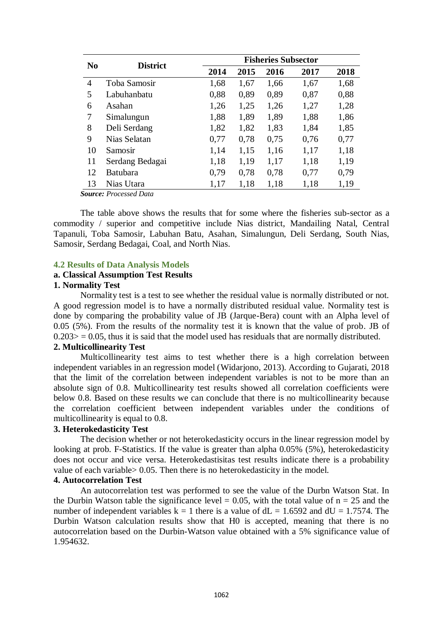| N <sub>0</sub> | <b>District</b> |      | <b>Fisheries Subsector</b> |      |      |      |  |  |
|----------------|-----------------|------|----------------------------|------|------|------|--|--|
|                |                 | 2014 | 2015                       | 2016 | 2017 | 2018 |  |  |
| $\overline{4}$ | Toba Samosir    | 1,68 | 1,67                       | 1,66 | 1,67 | 1,68 |  |  |
| 5              | Labuhanbatu     | 0,88 | 0,89                       | 0,89 | 0,87 | 0,88 |  |  |
| 6              | Asahan          | 1,26 | 1,25                       | 1,26 | 1,27 | 1,28 |  |  |
| 7              | Simalungun      | 1,88 | 1,89                       | 1,89 | 1,88 | 1,86 |  |  |
| 8              | Deli Serdang    | 1,82 | 1,82                       | 1,83 | 1,84 | 1,85 |  |  |
| 9              | Nias Selatan    | 0,77 | 0,78                       | 0,75 | 0,76 | 0,77 |  |  |
| 10             | Samosir         | 1,14 | 1,15                       | 1,16 | 1,17 | 1,18 |  |  |
| 11             | Serdang Bedagai | 1,18 | 1,19                       | 1,17 | 1,18 | 1,19 |  |  |
| 12             | <b>Batubara</b> | 0,79 | 0,78                       | 0,78 | 0,77 | 0,79 |  |  |
| 13             | Nias Utara      | 1,17 | 1,18                       | 1,18 | 1,18 | 1,19 |  |  |

*Source: Processed Data*

The table above shows the results that for some where the fisheries sub-sector as a commodity / superior and competitive include Nias district, Mandailing Natal, Central Tapanuli, Toba Samosir, Labuhan Batu, Asahan, Simalungun, Deli Serdang, South Nias, Samosir, Serdang Bedagai, Coal, and North Nias.

#### **4.2 Results of Data Analysis Models**

#### **a. Classical Assumption Test Results**

#### **1. Normality Test**

Normality test is a test to see whether the residual value is normally distributed or not. A good regression model is to have a normally distributed residual value. Normality test is done by comparing the probability value of JB (Jarque-Bera) count with an Alpha level of 0.05 (5%). From the results of the normality test it is known that the value of prob. JB of  $0.203$  = 0.05, thus it is said that the model used has residuals that are normally distributed.

### **2. Multicollinearity Test**

Multicollinearity test aims to test whether there is a high correlation between independent variables in an regression model (Widarjono, 2013). According to Gujarati, 2018 that the limit of the correlation between independent variables is not to be more than an absolute sign of 0.8. Multicollinearity test results showed all correlation coefficients were below 0.8. Based on these results we can conclude that there is no multicollinearity because the correlation coefficient between independent variables under the conditions of multicollinearity is equal to 0.8.

### **3. Heterokedasticity Test**

The decision whether or not heterokedasticity occurs in the linear regression model by looking at prob. F-Statistics. If the value is greater than alpha 0.05% (5%), heterokedasticity does not occur and vice versa. Heterokedastisitas test results indicate there is a probability value of each variable> 0.05. Then there is no heterokedasticity in the model.

### **4. Autocorrelation Test**

An autocorrelation test was performed to see the value of the Durbn Watson Stat. In the Durbin Watson table the significance level = 0.05, with the total value of  $n = 25$  and the number of independent variables  $k = 1$  there is a value of  $dL = 1.6592$  and  $dU = 1.7574$ . The Durbin Watson calculation results show that H0 is accepted, meaning that there is no autocorrelation based on the Durbin-Watson value obtained with a 5% significance value of 1.954632.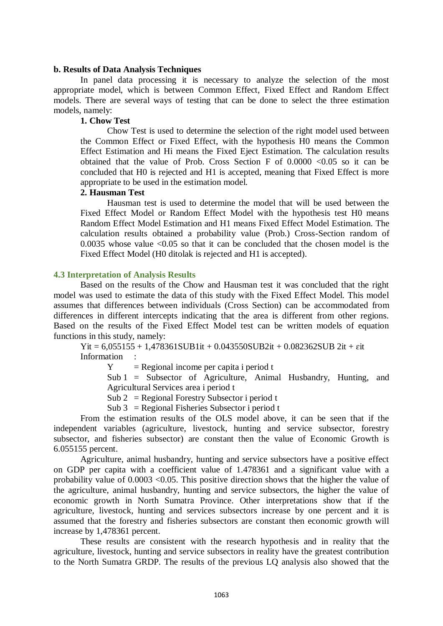#### **b. Results of Data Analysis Techniques**

In panel data processing it is necessary to analyze the selection of the most appropriate model, which is between Common Effect, Fixed Effect and Random Effect models. There are several ways of testing that can be done to select the three estimation models, namely:

### **1. Chow Test**

Chow Test is used to determine the selection of the right model used between the Common Effect or Fixed Effect, with the hypothesis H0 means the Common Effect Estimation and Hi means the Fixed Eject Estimation. The calculation results obtained that the value of Prob. Cross Section F of  $0.0000 < 0.05$  so it can be concluded that H0 is rejected and H1 is accepted, meaning that Fixed Effect is more appropriate to be used in the estimation model.

### **2. Hausman Test**

Hausman test is used to determine the model that will be used between the Fixed Effect Model or Random Effect Model with the hypothesis test H0 means Random Effect Model Estimation and H1 means Fixed Effect Model Estimation. The calculation results obtained a probability value (Prob.) Cross-Section random of 0.0035 whose value  $\leq 0.05$  so that it can be concluded that the chosen model is the Fixed Effect Model (H0 ditolak is rejected and H1 is accepted).

#### **4.3 Interpretation of Analysis Results**

Based on the results of the Chow and Hausman test it was concluded that the right model was used to estimate the data of this study with the Fixed Effect Model. This model assumes that differences between individuals (Cross Section) can be accommodated from differences in different intercepts indicating that the area is different from other regions. Based on the results of the Fixed Effect Model test can be written models of equation functions in this study, namely:

 $Y$ it = 6,055155 + 1,478361SUB1it + 0.043550SUB2it + 0.082362SUB 2it +  $\varepsilon$ it Information :

 $Y =$  Regional income per capita i period t

Sub 1 = Subsector of Agriculture, Animal Husbandry, Hunting, and Agricultural Services area i period t

Sub  $2 =$  Regional Forestry Subsector i period t

Sub  $3 =$  Regional Fisheries Subsector i period t

From the estimation results of the OLS model above, it can be seen that if the independent variables (agriculture, livestock, hunting and service subsector, forestry subsector, and fisheries subsector) are constant then the value of Economic Growth is 6.055155 percent.

Agriculture, animal husbandry, hunting and service subsectors have a positive effect on GDP per capita with a coefficient value of 1.478361 and a significant value with a probability value of 0.0003 <0.05. This positive direction shows that the higher the value of the agriculture, animal husbandry, hunting and service subsectors, the higher the value of economic growth in North Sumatra Province. Other interpretations show that if the agriculture, livestock, hunting and services subsectors increase by one percent and it is assumed that the forestry and fisheries subsectors are constant then economic growth will increase by 1,478361 percent.

These results are consistent with the research hypothesis and in reality that the agriculture, livestock, hunting and service subsectors in reality have the greatest contribution to the North Sumatra GRDP. The results of the previous LQ analysis also showed that the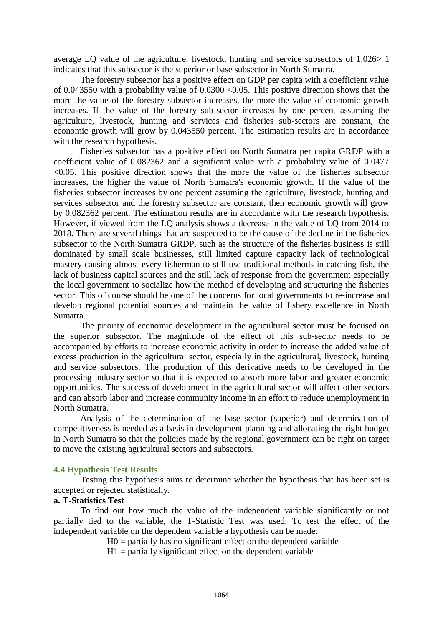average LQ value of the agriculture, livestock, hunting and service subsectors of 1.026> 1 indicates that this subsector is the superior or base subsector in North Sumatra.

The forestry subsector has a positive effect on GDP per capita with a coefficient value of 0.043550 with a probability value of 0.0300 <0.05. This positive direction shows that the more the value of the forestry subsector increases, the more the value of economic growth increases. If the value of the forestry sub-sector increases by one percent assuming the agriculture, livestock, hunting and services and fisheries sub-sectors are constant, the economic growth will grow by 0.043550 percent. The estimation results are in accordance with the research hypothesis.

Fisheries subsector has a positive effect on North Sumatra per capita GRDP with a coefficient value of 0.082362 and a significant value with a probability value of 0.0477  $\leq 0.05$ . This positive direction shows that the more the value of the fisheries subsector increases, the higher the value of North Sumatra's economic growth. If the value of the fisheries subsector increases by one percent assuming the agriculture, livestock, hunting and services subsector and the forestry subsector are constant, then economic growth will grow by 0.082362 percent. The estimation results are in accordance with the research hypothesis. However, if viewed from the LQ analysis shows a decrease in the value of LQ from 2014 to 2018. There are several things that are suspected to be the cause of the decline in the fisheries subsector to the North Sumatra GRDP, such as the structure of the fisheries business is still dominated by small scale businesses, still limited capture capacity lack of technological mastery causing almost every fisherman to still use traditional methods in catching fish, the lack of business capital sources and the still lack of response from the government especially the local government to socialize how the method of developing and structuring the fisheries sector. This of course should be one of the concerns for local governments to re-increase and develop regional potential sources and maintain the value of fishery excellence in North Sumatra.

The priority of economic development in the agricultural sector must be focused on the superior subsector. The magnitude of the effect of this sub-sector needs to be accompanied by efforts to increase economic activity in order to increase the added value of excess production in the agricultural sector, especially in the agricultural, livestock, hunting and service subsectors. The production of this derivative needs to be developed in the processing industry sector so that it is expected to absorb more labor and greater economic opportunities. The success of development in the agricultural sector will affect other sectors and can absorb labor and increase community income in an effort to reduce unemployment in North Sumatra.

Analysis of the determination of the base sector (superior) and determination of competitiveness is needed as a basis in development planning and allocating the right budget in North Sumatra so that the policies made by the regional government can be right on target to move the existing agricultural sectors and subsectors.

#### **4.4 Hypothesis Test Results**

Testing this hypothesis aims to determine whether the hypothesis that has been set is accepted or rejected statistically.

#### **a. T-Statistics Test**

To find out how much the value of the independent variable significantly or not partially tied to the variable, the T-Statistic Test was used. To test the effect of the independent variable on the dependent variable a hypothesis can be made:

 $H0 =$  partially has no significant effect on the dependent variable

 $H1$  = partially significant effect on the dependent variable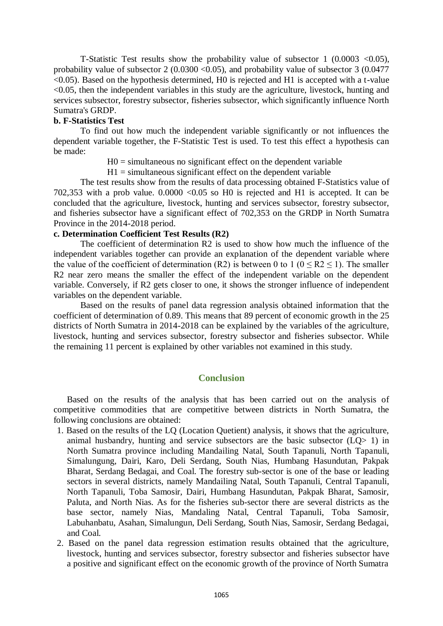T-Statistic Test results show the probability value of subsector  $1$  (0.0003 <0.05), probability value of subsector  $2(0.0300 \le 0.05)$ , and probability value of subsector  $3(0.0477)$  $\leq$ 0.05). Based on the hypothesis determined, H0 is rejected and H1 is accepted with a t-value <0.05, then the independent variables in this study are the agriculture, livestock, hunting and services subsector, forestry subsector, fisheries subsector, which significantly influence North Sumatra's GRDP.

#### **b. F-Statistics Test**

To find out how much the independent variable significantly or not influences the dependent variable together, the F-Statistic Test is used. To test this effect a hypothesis can be made:

 $H0 =$  simultaneous no significant effect on the dependent variable

 $H1 =$  simultaneous significant effect on the dependent variable

The test results show from the results of data processing obtained F-Statistics value of 702,353 with a prob value.  $0.0000 \le 0.05$  so H0 is rejected and H1 is accepted. It can be concluded that the agriculture, livestock, hunting and services subsector, forestry subsector, and fisheries subsector have a significant effect of 702,353 on the GRDP in North Sumatra Province in the 2014-2018 period.

### **c. Determination Coefficient Test Results (R2)**

The coefficient of determination R2 is used to show how much the influence of the independent variables together can provide an explanation of the dependent variable where the value of the coefficient of determination (R2) is between 0 to 1 ( $0 \leq R2 \leq 1$ ). The smaller R2 near zero means the smaller the effect of the independent variable on the dependent variable. Conversely, if R2 gets closer to one, it shows the stronger influence of independent variables on the dependent variable.

Based on the results of panel data regression analysis obtained information that the coefficient of determination of 0.89. This means that 89 percent of economic growth in the 25 districts of North Sumatra in 2014-2018 can be explained by the variables of the agriculture, livestock, hunting and services subsector, forestry subsector and fisheries subsector. While the remaining 11 percent is explained by other variables not examined in this study.

### **Conclusion**

Based on the results of the analysis that has been carried out on the analysis of competitive commodities that are competitive between districts in North Sumatra, the following conclusions are obtained:

- 1. Based on the results of the LQ (Location Quetient) analysis, it shows that the agriculture, animal husbandry, hunting and service subsectors are the basic subsector  $(LQ> 1)$  in North Sumatra province including Mandailing Natal, South Tapanuli, North Tapanuli, Simalungung, Dairi, Karo, Deli Serdang, South Nias, Humbang Hasundutan, Pakpak Bharat, Serdang Bedagai, and Coal. The forestry sub-sector is one of the base or leading sectors in several districts, namely Mandailing Natal, South Tapanuli, Central Tapanuli, North Tapanuli, Toba Samosir, Dairi, Humbang Hasundutan, Pakpak Bharat, Samosir, Paluta, and North Nias. As for the fisheries sub-sector there are several districts as the base sector, namely Nias, Mandaling Natal, Central Tapanuli, Toba Samosir, Labuhanbatu, Asahan, Simalungun, Deli Serdang, South Nias, Samosir, Serdang Bedagai, and Coal.
- 2. Based on the panel data regression estimation results obtained that the agriculture, livestock, hunting and services subsector, forestry subsector and fisheries subsector have a positive and significant effect on the economic growth of the province of North Sumatra